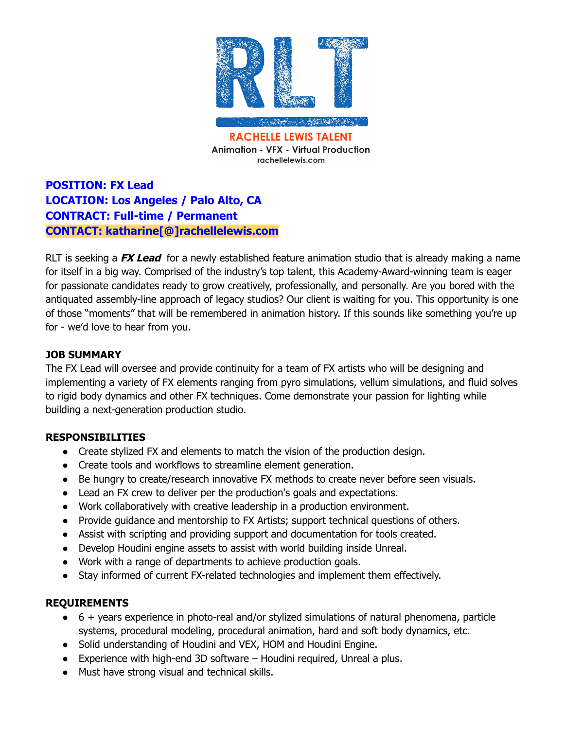

**POSITION: FX Lead LOCATION: Los Angeles / Palo Alto, CA CONTRACT: Full-time / Permanent CONTACT: katharine[@]rachellelewis.com**

RLT is seeking a **FX Lead** for a newly established feature animation studio that is already making a name for itself in a big way. Comprised of the industry's top talent, this Academy-Award-winning team is eager for passionate candidates ready to grow creatively, professionally, and personally. Are you bored with the antiquated assembly-line approach of legacy studios? Our client is waiting for you. This opportunity is one of those "moments" that will be remembered in animation history. If this sounds like something you're up for - we'd love to hear from you.

## **JOB SUMMARY**

The FX Lead will oversee and provide continuity for a team of FX artists who will be designing and implementing a variety of FX elements ranging from pyro simulations, vellum simulations, and fluid solves to rigid body dynamics and other FX techniques. Come demonstrate your passion for lighting while building a next-generation production studio.

## **RESPONSIBILITIES**

- Create stylized FX and elements to match the vision of the production design.
- Create tools and workflows to streamline element generation.
- Be hungry to create/research innovative FX methods to create never before seen visuals.
- Lead an FX crew to deliver per the production's goals and expectations.
- Work collaboratively with creative leadership in a production environment.
- Provide guidance and mentorship to FX Artists; support technical questions of others.
- Assist with scripting and providing support and documentation for tools created.
- Develop Houdini engine assets to assist with world building inside Unreal.
- Work with a range of departments to achieve production goals.
- Stay informed of current FX-related technologies and implement them effectively.

## **REQUIREMENTS**

- 6 + years experience in photo-real and/or stylized simulations of natural phenomena, particle systems, procedural modeling, procedural animation, hard and soft body dynamics, etc.
- Solid understanding of Houdini and VEX, HOM and Houdini Engine.
- $\bullet$  Experience with high-end 3D software Houdini required, Unreal a plus.
- Must have strong visual and technical skills.